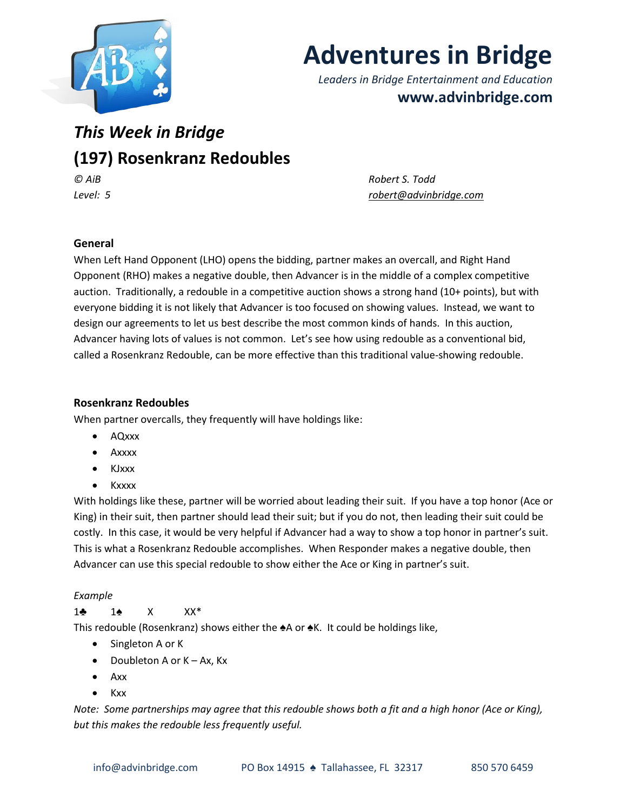

# **Adventures in Bridge**

*Leaders in Bridge Entertainment and Education* **www.advinbridge.com**

# *This Week in Bridge* **(197) Rosenkranz Redoubles** *© AiB Robert S. Todd*

*Level: 5 [robert@advinbridge.com](mailto:robert@advinbridge.com)*

# **General**

When Left Hand Opponent (LHO) opens the bidding, partner makes an overcall, and Right Hand Opponent (RHO) makes a negative double, then Advancer is in the middle of a complex competitive auction. Traditionally, a redouble in a competitive auction shows a strong hand (10+ points), but with everyone bidding it is not likely that Advancer is too focused on showing values. Instead, we want to design our agreements to let us best describe the most common kinds of hands. In this auction, Advancer having lots of values is not common. Let's see how using redouble as a conventional bid, called a Rosenkranz Redouble, can be more effective than this traditional value-showing redouble.

# **Rosenkranz Redoubles**

When partner overcalls, they frequently will have holdings like:

- AQxxx
- Axxxx
- KJxxx
- Kxxxx

With holdings like these, partner will be worried about leading their suit. If you have a top honor (Ace or King) in their suit, then partner should lead their suit; but if you do not, then leading their suit could be costly. In this case, it would be very helpful if Advancer had a way to show a top honor in partner's suit. This is what a Rosenkranz Redouble accomplishes. When Responder makes a negative double, then Advancer can use this special redouble to show either the Ace or King in partner's suit.

# *Example*

# 1♣ 1♠ X XX\*

This redouble (Rosenkranz) shows either the ♠A or ♠K. It could be holdings like,

- Singleton A or K
- Doubleton A or  $K Ax$ ,  $Kx$
- Axx
- Kxx

*Note: Some partnerships may agree that this redouble shows both a fit and a high honor (Ace or King), but this makes the redouble less frequently useful.*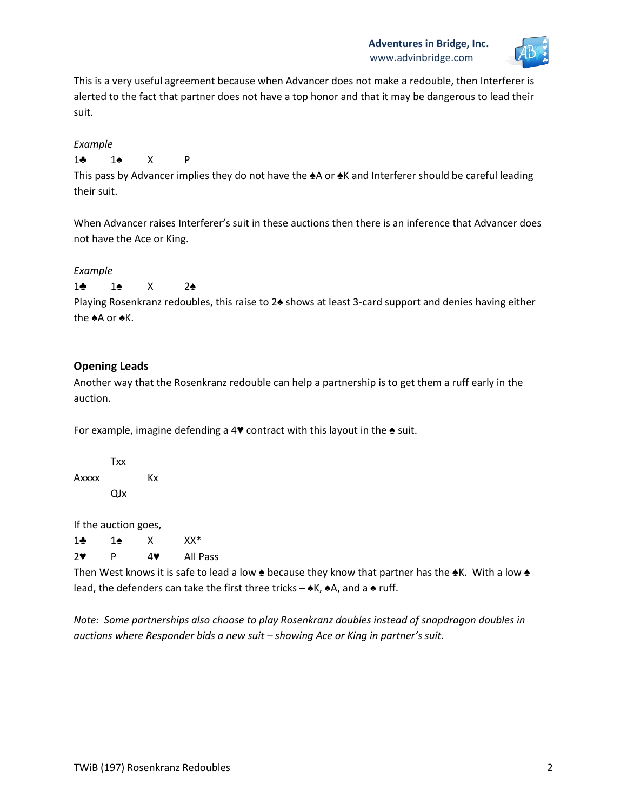

This is a very useful agreement because when Advancer does not make a redouble, then Interferer is alerted to the fact that partner does not have a top honor and that it may be dangerous to lead their suit.

#### *Example*

# 1♣ 1♠ X P

This pass by Advancer implies they do not have the ♠A or ♠K and Interferer should be careful leading their suit.

When Advancer raises Interferer's suit in these auctions then there is an inference that Advancer does not have the Ace or King.

#### *Example*

1♣ 1♠ X 2♠

Playing Rosenkranz redoubles, this raise to 2♠ shows at least 3-card support and denies having either the ♠A or ♠K.

# **Opening Leads**

Another way that the Rosenkranz redouble can help a partnership is to get them a ruff early in the auction.

For example, imagine defending a 4♥ contract with this layout in the ♠ suit.

Txx Axxxx Kx QJx

If the auction goes,

1♣ 1♠ X XX\*

2♥ P 4♥ All Pass

Then West knows it is safe to lead a low ♠ because they know that partner has the ♠K. With a low ♠ lead, the defenders can take the first three tricks –  $\triangle$ K,  $\triangle$ A, and a  $\triangle$  ruff.

*Note: Some partnerships also choose to play Rosenkranz doubles instead of snapdragon doubles in auctions where Responder bids a new suit – showing Ace or King in partner's suit.*